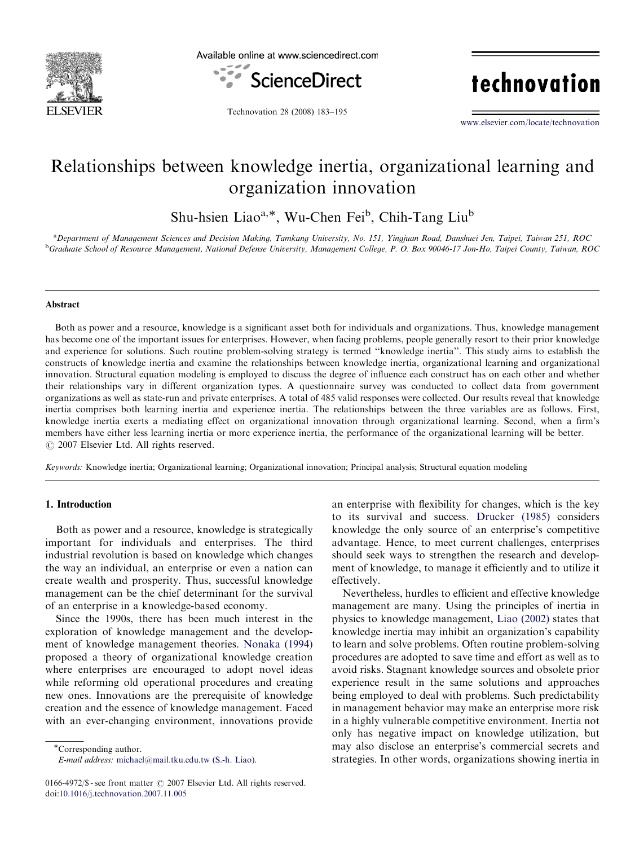

Available online at www.sciencedirect.com



technovation

Technovation 28 (2008) 183–195

<www.elsevier.com/locate/technovation>

## Relationships between knowledge inertia, organizational learning and organization innovation

Shu-hsien Liao<sup>a,\*</sup>, Wu-Chen Fei<sup>b</sup>, Chih-Tang Liu<sup>b</sup>

a Department of Management Sciences and Decision Making, Tamkang University, No. 151, Yingjuan Road, Danshuei Jen, Taipei, Taiwan 251, ROC <sup>b</sup>Graduate School of Resource Management, National Defense University, Management College, P. O. Box 90046-17 Jon-Ho, Taipei County, Taiwan, ROC

#### Abstract

Both as power and a resource, knowledge is a significant asset both for individuals and organizations. Thus, knowledge management has become one of the important issues for enterprises. However, when facing problems, people generally resort to their prior knowledge and experience for solutions. Such routine problem-solving strategy is termed ''knowledge inertia''. This study aims to establish the constructs of knowledge inertia and examine the relationships between knowledge inertia, organizational learning and organizational innovation. Structural equation modeling is employed to discuss the degree of influence each construct has on each other and whether their relationships vary in different organization types. A questionnaire survey was conducted to collect data from government organizations as well as state-run and private enterprises. A total of 485 valid responses were collected. Our results reveal that knowledge inertia comprises both learning inertia and experience inertia. The relationships between the three variables are as follows. First, knowledge inertia exerts a mediating effect on organizational innovation through organizational learning. Second, when a firm's members have either less learning inertia or more experience inertia, the performance of the organizational learning will be better.  $C$  2007 Elsevier Ltd. All rights reserved.

Keywords: Knowledge inertia; Organizational learning; Organizational innovation; Principal analysis; Structural equation modeling

### 1. Introduction

Both as power and a resource, knowledge is strategically important for individuals and enterprises. The third industrial revolution is based on knowledge which changes the way an individual, an enterprise or even a nation can create wealth and prosperity. Thus, successful knowledge management can be the chief determinant for the survival of an enterprise in a knowledge-based economy.

Since the 1990s, there has been much interest in the exploration of knowledge management and the development of knowledge management theories. [Nonaka \(1994\)](#page--1-0) proposed a theory of organizational knowledge creation where enterprises are encouraged to adopt novel ideas while reforming old operational procedures and creating new ones. Innovations are the prerequisite of knowledge creation and the essence of knowledge management. Faced with an ever-changing environment, innovations provide

\*Corresponding author.

E-mail address: [michael@mail.tku.edu.tw \(S.-h. Liao\).](mailto:michael@mail.tku.edu.tw)

an enterprise with flexibility for changes, which is the key to its survival and success. [Drucker \(1985\)](#page--1-0) considers knowledge the only source of an enterprise's competitive advantage. Hence, to meet current challenges, enterprises should seek ways to strengthen the research and development of knowledge, to manage it efficiently and to utilize it effectively.

Nevertheless, hurdles to efficient and effective knowledge management are many. Using the principles of inertia in physics to knowledge management, [Liao \(2002\)](#page--1-0) states that knowledge inertia may inhibit an organization's capability to learn and solve problems. Often routine problem-solving procedures are adopted to save time and effort as well as to avoid risks. Stagnant knowledge sources and obsolete prior experience result in the same solutions and approaches being employed to deal with problems. Such predictability in management behavior may make an enterprise more risk in a highly vulnerable competitive environment. Inertia not only has negative impact on knowledge utilization, but may also disclose an enterprise's commercial secrets and strategies. In other words, organizations showing inertia in

<sup>0166-4972/\$ -</sup> see front matter  $\odot$  2007 Elsevier Ltd. All rights reserved. doi:[10.1016/j.technovation.2007.11.005](dx.doi.org/10.1016/j.technovation.2007.11.005)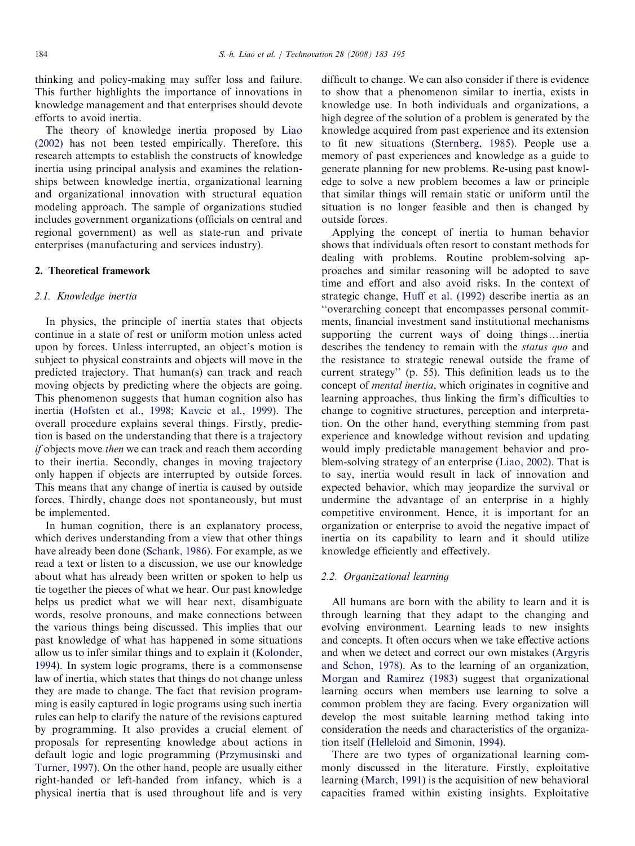thinking and policy-making may suffer loss and failure. This further highlights the importance of innovations in knowledge management and that enterprises should devote efforts to avoid inertia.

The theory of knowledge inertia proposed by [Liao](#page--1-0) [\(2002\)](#page--1-0) has not been tested empirically. Therefore, this research attempts to establish the constructs of knowledge inertia using principal analysis and examines the relationships between knowledge inertia, organizational learning and organizational innovation with structural equation modeling approach. The sample of organizations studied includes government organizations (officials on central and regional government) as well as state-run and private enterprises (manufacturing and services industry).

#### 2. Theoretical framework

#### 2.1. Knowledge inertia

In physics, the principle of inertia states that objects continue in a state of rest or uniform motion unless acted upon by forces. Unless interrupted, an object's motion is subject to physical constraints and objects will move in the predicted trajectory. That human(s) can track and reach moving objects by predicting where the objects are going. This phenomenon suggests that human cognition also has inertia [\(Hofsten et al., 1998](#page--1-0); [Kavcic et al., 1999\)](#page--1-0). The overall procedure explains several things. Firstly, prediction is based on the understanding that there is a trajectory if objects move then we can track and reach them according to their inertia. Secondly, changes in moving trajectory only happen if objects are interrupted by outside forces. This means that any change of inertia is caused by outside forces. Thirdly, change does not spontaneously, but must be implemented.

In human cognition, there is an explanatory process, which derives understanding from a view that other things have already been done [\(Schank, 1986\)](#page--1-0). For example, as we read a text or listen to a discussion, we use our knowledge about what has already been written or spoken to help us tie together the pieces of what we hear. Our past knowledge helps us predict what we will hear next, disambiguate words, resolve pronouns, and make connections between the various things being discussed. This implies that our past knowledge of what has happened in some situations allow us to infer similar things and to explain it ([Kolonder,](#page--1-0) [1994\)](#page--1-0). In system logic programs, there is a commonsense law of inertia, which states that things do not change unless they are made to change. The fact that revision programming is easily captured in logic programs using such inertia rules can help to clarify the nature of the revisions captured by programming. It also provides a crucial element of proposals for representing knowledge about actions in default logic and logic programming ([Przymusinski and](#page--1-0) [Turner, 1997\)](#page--1-0). On the other hand, people are usually either right-handed or left-handed from infancy, which is a physical inertia that is used throughout life and is very difficult to change. We can also consider if there is evidence to show that a phenomenon similar to inertia, exists in knowledge use. In both individuals and organizations, a high degree of the solution of a problem is generated by the knowledge acquired from past experience and its extension to fit new situations [\(Sternberg, 1985](#page--1-0)). People use a memory of past experiences and knowledge as a guide to generate planning for new problems. Re-using past knowledge to solve a new problem becomes a law or principle that similar things will remain static or uniform until the situation is no longer feasible and then is changed by outside forces.

Applying the concept of inertia to human behavior shows that individuals often resort to constant methods for dealing with problems. Routine problem-solving approaches and similar reasoning will be adopted to save time and effort and also avoid risks. In the context of strategic change, [Huff et al. \(1992\)](#page--1-0) describe inertia as an ''overarching concept that encompasses personal commitments, financial investment sand institutional mechanisms supporting the current ways of doing things...inertia describes the tendency to remain with the *status quo* and the resistance to strategic renewal outside the frame of current strategy'' (p. 55). This definition leads us to the concept of mental inertia, which originates in cognitive and learning approaches, thus linking the firm's difficulties to change to cognitive structures, perception and interpretation. On the other hand, everything stemming from past experience and knowledge without revision and updating would imply predictable management behavior and problem-solving strategy of an enterprise ([Liao, 2002\)](#page--1-0). That is to say, inertia would result in lack of innovation and expected behavior, which may jeopardize the survival or undermine the advantage of an enterprise in a highly competitive environment. Hence, it is important for an organization or enterprise to avoid the negative impact of inertia on its capability to learn and it should utilize knowledge efficiently and effectively.

#### 2.2. Organizational learning

All humans are born with the ability to learn and it is through learning that they adapt to the changing and evolving environment. Learning leads to new insights and concepts. It often occurs when we take effective actions and when we detect and correct our own mistakes [\(Argyris](#page--1-0) [and Schon, 1978](#page--1-0)). As to the learning of an organization, [Morgan and Ramirez \(1983\)](#page--1-0) suggest that organizational learning occurs when members use learning to solve a common problem they are facing. Every organization will develop the most suitable learning method taking into consideration the needs and characteristics of the organization itself [\(Helleloid and Simonin, 1994\)](#page--1-0).

There are two types of organizational learning commonly discussed in the literature. Firstly, exploitative learning [\(March, 1991](#page--1-0)) is the acquisition of new behavioral capacities framed within existing insights. Exploitative